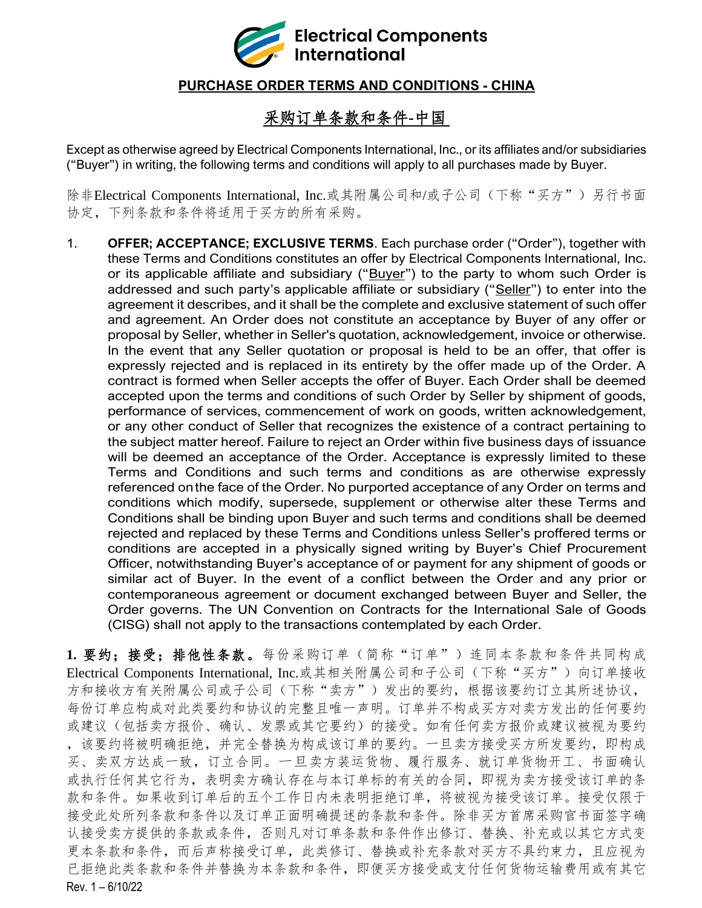

## **PURCHASE ORDER TERMS AND CONDITIONS - CHINA**

## 采购订单条款和条件**-**中国

Except as otherwise agreed by Electrical Components International, Inc., or its affiliates and/or subsidiaries ("Buyer") in writing, the following terms and conditions will apply to all purchases made by Buyer.

除非Electrical Components International, Inc.或其附属公司和/或子公司(下称"买方")另行书面 协定,下列条款和条件将适用于买方的所有采购。

1. **OFFER; ACCEPTANCE; EXCLUSIVE TERMS**. Each purchase order ("Order"), together with these Terms and Conditions constitutes an offer by Electrical Components International, Inc. or its applicable affiliate and subsidiary ("Buyer") to the party to whom such Order is addressed and such party's applicable affiliate or subsidiary ("Seller") to enter into the agreement it describes, and it shall be the complete and exclusive statement of such offer and agreement. An Order does not constitute an acceptance by Buyer of any offer or proposal by Seller, whether in Seller's quotation, acknowledgement, invoice or otherwise. In the event that any Seller quotation or proposal is held to be an offer, that offer is expressly rejected and is replaced in its entirety by the offer made up of the Order. A contract is formed when Seller accepts the offer of Buyer. Each Order shall be deemed accepted upon the terms and conditions of such Order by Seller by shipment of goods, performance of services, commencement of work on goods, written acknowledgement, or any other conduct of Seller that recognizes the existence of a contract pertaining to the subject matter hereof. Failure to reject an Order within five business days of issuance will be deemed an acceptance of the Order. Acceptance is expressly limited to these Terms and Conditions and such terms and conditions as are otherwise expressly referenced onthe face of the Order. No purported acceptance of any Order on terms and conditions which modify, supersede, supplement or otherwise alter these Terms and Conditions shall be binding upon Buyer and such terms and conditions shall be deemed rejected and replaced by these Terms and Conditions unless Seller's proffered terms or conditions are accepted in a physically signed writing by Buyer's Chief Procurement Officer, notwithstanding Buyer's acceptance of or payment for any shipment of goods or similar act of Buyer. In the event of a conflict between the Order and any prior or contemporaneous agreement or document exchanged between Buyer and Seller, the Order governs. The UN Convention on Contracts for the International Sale of Goods (CISG) shall not apply to the transactions contemplated by each Order.

Rev. 1 – 6/10/22 **1.** 要约;接受;排他性条款。每份采购订单(简称"订单")连同本条款和条件共同构成 Electrical Components International, Inc.或其相关附属公司和子公司(下称"买方")向订单接收 方和接收方有关附属公司或子公司(下称"卖方")发出的要约,根据该要约订立其所述协议, 每份订单应构成对此类要约和协议的完整且唯一声明。订单并不构成买方对卖方发出的任何要约 或建议(包括卖方报价、确认、发票或其它要约)的接受。如有任何卖方报价或建议被视为要约 ,该要约将被明确拒绝,并完全替换为构成该订单的要约。一旦卖方接受买方所发要约,即构成 买、卖双方达成一致,订立合同。一旦卖方装运货物、履行服务、就订单货物开工、书面确认 或执行任何其它行为,表明卖方确认存在与本订单标的有关的合同,即视为卖方接受该订单的条 款和条件。如果收到订单后的五个工作日内未表明拒绝订单,将被视为接受该订单。接受仅限于 接受此处所列条款和条件以及订单正面明确提述的条款和条件。除非买方首席采购官书面签字确 认接受卖方提供的条款或条件,否则凡对订单条款和条件作出修订、替换、补充或以其它方式变 更本条款和条件,而后声称接受订单,此类修订、替换或补充条款对买方不具约束力,且应视为 已拒绝此类条款和条件并替换为本条款和条件,即便买方接受或支付任何货物运输费用或有其它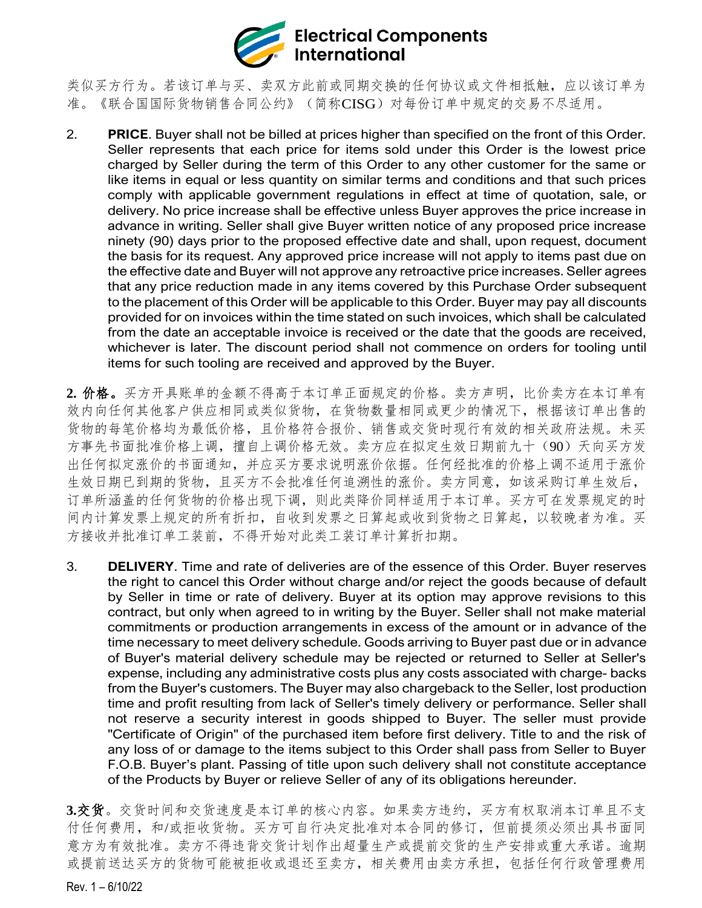

类似买方行为。若该订单与买、卖双方此前或同期交换的任何协议或文件相抵触,应以该订单为 准。《联合国国际货物销售合同公约》(简称CISG)对每份订单中规定的交易不尽适用。

- 2. **PRICE**. Buyer shall not be billed at prices higher than specified on the front of this Order. Seller represents that each price for items sold under this Order is the lowest price charged by Seller during the term of this Order to any other customer for the same or like items in equal or less quantity on similar terms and conditions and that such prices comply with applicable government regulations in effect at time of quotation, sale, or delivery. No price increase shall be effective unless Buyer approves the price increase in advance in writing. Seller shall give Buyer written notice of any proposed price increase ninety (90) days prior to the proposed effective date and shall, upon request, document the basis for its request. Any approved price increase will not apply to items past due on the effective date and Buyer will not approve any retroactive price increases. Seller agrees that any price reduction made in any items covered by this Purchase Order subsequent to the placement of this Order will be applicable to this Order. Buyer may pay all discounts provided for on invoices within the time stated on such invoices, which shall be calculated from the date an acceptable invoice is received or the date that the goods are received, whichever is later. The discount period shall not commence on orders for tooling until items for such tooling are received and approved by the Buyer.
- **2.** 价格。买方开具账单的金额不得高于本订单正面规定的价格。卖方声明,比价卖方在本订单有 效内向任何其他客户供应相同或类似货物,在货物数量相同或更少的情况下,根据该订单出售的 货物的每笔价格均为最低价格,且价格符合报价、销售或交货时现行有效的相关政府法规。未买 方事先书面批准价格上调,擅自上调价格无效。卖方应在拟定生效日期前九十(90)天向买方发 出任何拟定涨价的书面通知,并应买方要求说明涨价依据。任何经批准的价格上调不适用于涨价 生效日期已到期的货物,且买方不会批准任何追溯性的涨价。卖方同意,如该采购订单生效后, 订单所涵盖的任何货物的价格出现下调,则此类降价同样适用于本订单。买方可在发票规定的时 间内计算发票上规定的所有折扣,自收到发票之日算起或收到货物之日算起,以较晚者为准。买 方接收并批准订单工装前,不得开始对此类工装订单计算折扣期。
- 3. **DELIVERY**. Time and rate of deliveries are of the essence of this Order. Buyer reserves the right to cancel this Order without charge and/or reject the goods because of default by Seller in time or rate of delivery. Buyer at its option may approve revisions to this contract, but only when agreed to in writing by the Buyer. Seller shall not make material commitments or production arrangements in excess of the amount or in advance of the time necessary to meet delivery schedule. Goods arriving to Buyer past due or in advance of Buyer's material delivery schedule may be rejected or returned to Seller at Seller's expense, including any administrative costs plus any costs associated with charge- backs from the Buyer's customers. The Buyer may also chargeback to the Seller, lost production time and profit resulting from lack of Seller's timely delivery or performance. Seller shall not reserve a security interest in goods shipped to Buyer. The seller must provide "Certificate of Origin" of the purchased item before first delivery. Title to and the risk of any loss of or damage to the items subject to this Order shall pass from Seller to Buyer F.O.B. Buyer's plant. Passing of title upon such delivery shall not constitute acceptance of the Products by Buyer or relieve Seller of any of its obligations hereunder.

**3.**交货。交货时间和交货速度是本订单的核心内容。如果卖方违约,买方有权取消本订单且不支 付任何费用,和/或拒收货物。买方可自行决定批准对本合同的修订,但前提须必须出具书面同 意方为有效批准。卖方不得违背交货计划作出超量生产或提前交货的生产安排或重大承诺。逾期 或提前送达买方的货物可能被拒收或退还至卖方,相关费用由卖方承担,包括任何行政管理费用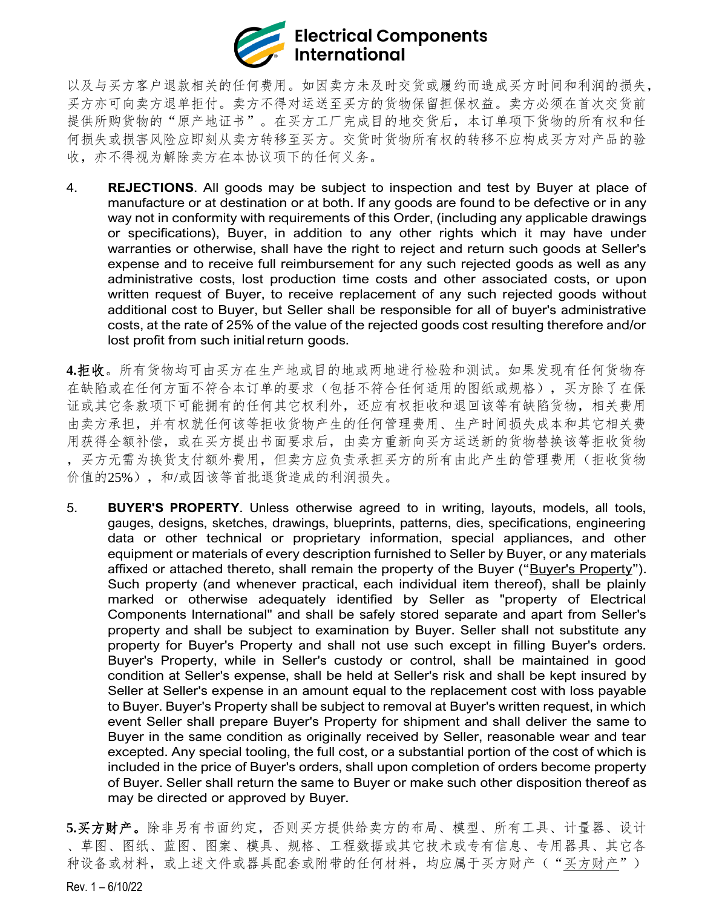

以及与买方客户退款相关的任何费用。如因卖方未及时交货或履约而造成买方时间和利润的损失, 买方亦可向卖方退单拒付。卖方不得对运送至买方的货物保留担保权益。卖方必须在首次交货前 提供所购货物的"原产地证书"。在买方工厂完成目的地交货后,本订单项下货物的所有权和任 何损失或损害风险应即刻从卖方转移至买方。交货时货物所有权的转移不应构成买方对产品的验 收,亦不得视为解除卖方在本协议项下的任何义务。

4. **REJECTIONS**. All goods may be subject to inspection and test by Buyer at place of manufacture or at destination or at both. If any goods are found to be defective or in any way not in conformity with requirements of this Order, (including any applicable drawings or specifications), Buyer, in addition to any other rights which it may have under warranties or otherwise, shall have the right to reject and return such goods at Seller's expense and to receive full reimbursement for any such rejected goods as well as any administrative costs, lost production time costs and other associated costs, or upon written request of Buyer, to receive replacement of any such rejected goods without additional cost to Buyer, but Seller shall be responsible for all of buyer's administrative costs, at the rate of 25% of the value of the rejected goods cost resulting therefore and/or lost profit from such initial return goods.

**4.**拒收。所有货物均可由买方在生产地或目的地或两地进行检验和测试。如果发现有任何货物存 在缺陷或在任何方面不符合本订单的要求(包括不符合任何适用的图纸或规格),买方除了在保 证或其它条款项下可能拥有的任何其它权利外,还应有权拒收和退回该等有缺陷货物,相关费用 由卖方承担,并有权就任何该等拒收货物产生的任何管理费用、生产时间损失成本和其它相关费 用获得全额补偿,或在买方提出书面要求后,由卖方重新向买方运送新的货物替换该等拒收货物 ,买方无需为换货支付额外费用,但卖方应负责承担买方的所有由此产生的管理费用(拒收货物 价值的25%),和/或因该等首批退货造成的利润损失。

5. **BUYER'S PROPERTY**. Unless otherwise agreed to in writing, layouts, models, all tools, gauges, designs, sketches, drawings, blueprints, patterns, dies, specifications, engineering data or other technical or proprietary information, special appliances, and other equipment or materials of every description furnished to Seller by Buyer, or any materials affixed or attached thereto, shall remain the property of the Buyer ("Buyer's Property"). Such property (and whenever practical, each individual item thereof), shall be plainly marked or otherwise adequately identified by Seller as "property of Electrical Components International" and shall be safely stored separate and apart from Seller's property and shall be subject to examination by Buyer. Seller shall not substitute any property for Buyer's Property and shall not use such except in filling Buyer's orders. Buyer's Property, while in Seller's custody or control, shall be maintained in good condition at Seller's expense, shall be held at Seller's risk and shall be kept insured by Seller at Seller's expense in an amount equal to the replacement cost with loss payable to Buyer. Buyer's Property shall be subject to removal at Buyer's written request, in which event Seller shall prepare Buyer's Property for shipment and shall deliver the same to Buyer in the same condition as originally received by Seller, reasonable wear and tear excepted. Any special tooling, the full cost, or a substantial portion of the cost of which is included in the price of Buyer's orders, shall upon completion of orders become property of Buyer. Seller shall return the same to Buyer or make such other disposition thereof as may be directed or approved by Buyer.

**5.**买方财产。除非另有书面约定,否则买方提供给卖方的布局、模型、所有工具、计量器、设计 、草图、图纸、蓝图、图案、模具、规格、工程数据或其它技术或专有信息、专用器具、其它各 种设备或材料,或上述文件或器具配套或附带的任何材料,均应属于买方财产("买方财产")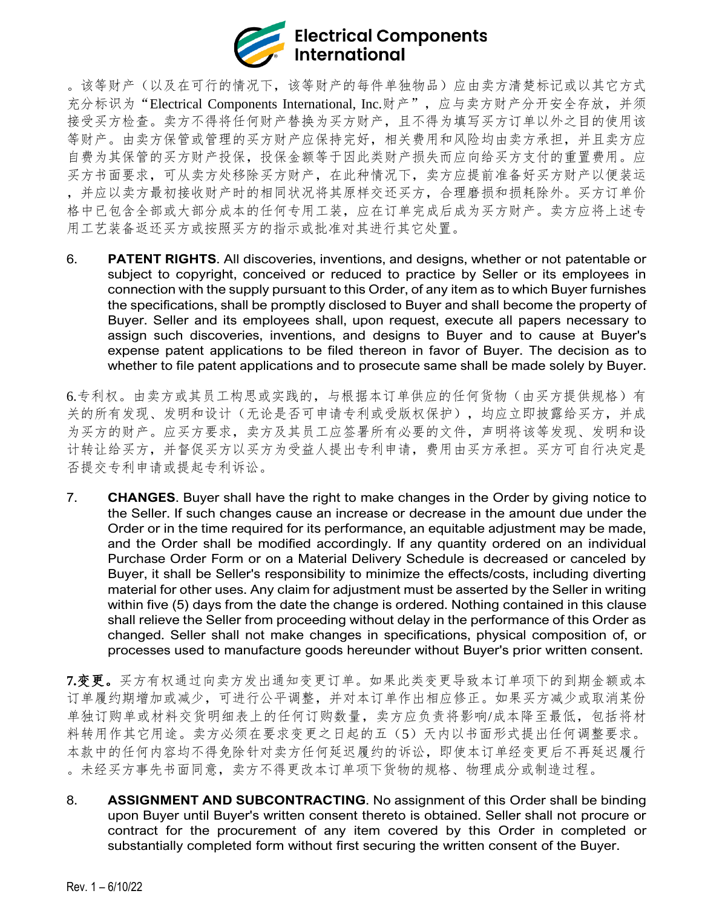

。该等财产(以及在可行的情况下,该等财产的每件单独物品)应由卖方清楚标记或以其它方式 充分标识为"Electrical Components International, Inc.财产",应与卖方财产分开安全存放,并须 接受买方检查。卖方不得将任何财产替换为买方财产,且不得为填写买方订单以外之目的使用该 等财产。由卖方保管或管理的买方财产应保持完好,相关费用和风险均由卖方承担,并且卖方应 自费为其保管的买方财产投保,投保金额等于因此类财产损失而应向给买方支付的重置费用。应 买方书面要求,可从卖方处移除买方财产,在此种情况下,卖方应提前准备好买方财产以便装运 ,并应以卖方最初接收财产时的相同状况将其原样交还买方,合理磨损和损耗除外。买方订单价 格中已包含全部或大部分成本的任何专用工装,应在订单完成后成为买方财产。卖方应将上述专 用工艺装备返还买方或按照买方的指示或批准对其进行其它处置。

6. **PATENT RIGHTS**. All discoveries, inventions, and designs, whether or not patentable or subject to copyright, conceived or reduced to practice by Seller or its employees in connection with the supply pursuant to this Order, of any item as to which Buyer furnishes the specifications, shall be promptly disclosed to Buyer and shall become the property of Buyer. Seller and its employees shall, upon request, execute all papers necessary to assign such discoveries, inventions, and designs to Buyer and to cause at Buyer's expense patent applications to be filed thereon in favor of Buyer. The decision as to whether to file patent applications and to prosecute same shall be made solely by Buyer.

6.专利权。由卖方或其员工构思或实践的,与根据本订单供应的任何货物(由买方提供规格)有 关的所有发现、发明和设计(无论是否可申请专利或受版权保护),均应立即披露给买方,并成 为买方的财产。应买方要求,卖方及其员工应签署所有必要的文件,声明将该等发现、发明和设 计转让给买方,并督促买方以买方为受益人提出专利申请,费用由买方承担。买方可自行决定是 否提交专利申请或提起专利诉讼。

7. **CHANGES**. Buyer shall have the right to make changes in the Order by giving notice to the Seller. If such changes cause an increase or decrease in the amount due under the Order or in the time required for its performance, an equitable adjustment may be made, and the Order shall be modified accordingly. If any quantity ordered on an individual Purchase Order Form or on a Material Delivery Schedule is decreased or canceled by Buyer, it shall be Seller's responsibility to minimize the effects/costs, including diverting material for other uses. Any claim for adjustment must be asserted by the Seller in writing within five (5) days from the date the change is ordered. Nothing contained in this clause shall relieve the Seller from proceeding without delay in the performance of this Order as changed. Seller shall not make changes in specifications, physical composition of, or processes used to manufacture goods hereunder without Buyer's prior written consent.

**7.**变更。买方有权通过向卖方发出通知变更订单。如果此类变更导致本订单项下的到期金额或本 订单履约期增加或减少,可进行公平调整,并对本订单作出相应修正。如果买方减少或取消某份 单独订购单或材料交货明细表上的任何订购数量,卖方应负责将影响/成本降至最低,包括将材 料转用作其它用途。卖方必须在要求变更之日起的五(5)天内以书面形式提出任何调整要求。 本款中的任何内容均不得免除针对卖方任何延迟履约的诉讼,即使本订单经变更后不再延迟履行 。未经买方事先书面同意,卖方不得更改本订单项下货物的规格、物理成分或制造过程。

8. **ASSIGNMENT AND SUBCONTRACTING**. No assignment of this Order shall be binding upon Buyer until Buyer's written consent thereto is obtained. Seller shall not procure or contract for the procurement of any item covered by this Order in completed or substantially completed form without first securing the written consent of the Buyer.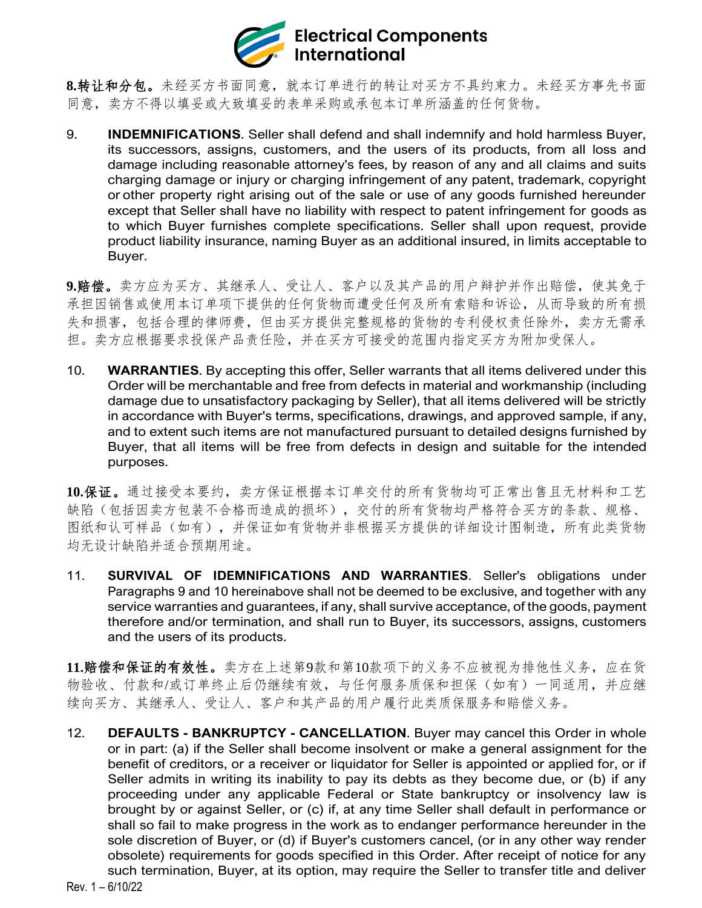

**8.**转让和分包。未经买方书面同意,就本订单进行的转让对买方不具约束力。未经买方事先书面 同意,卖方不得以填妥或大致填妥的表单采购或承包本订单所涵盖的任何货物。

9. **INDEMNIFICATIONS**. Seller shall defend and shall indemnify and hold harmless Buyer, its successors, assigns, customers, and the users of its products, from all loss and damage including reasonable attorney's fees, by reason of any and all claims and suits charging damage or injury or charging infringement of any patent, trademark, copyright or other property right arising out of the sale or use of any goods furnished hereunder except that Seller shall have no liability with respect to patent infringement for goods as to which Buyer furnishes complete specifications. Seller shall upon request, provide product liability insurance, naming Buyer as an additional insured, in limits acceptable to Buyer.

**9.**赔偿。卖方应为买方、其继承人、受让人、客户以及其产品的用户辩护并作出赔偿,使其免于 承担因销售或使用本订单项下提供的任何货物而遭受任何及所有索赔和诉讼,从而导致的所有损 失和损害,包括合理的律师费,但由买方提供完整规格的货物的专利侵权责任除外,卖方无需承 担。卖方应根据要求投保产品责任险,并在买方可接受的范围内指定买方为附加受保人。

10. **WARRANTIES**. By accepting this offer, Seller warrants that all items delivered under this Order will be merchantable and free from defects in material and workmanship (including damage due to unsatisfactory packaging by Seller), that all items delivered will be strictly in accordance with Buyer's terms, specifications, drawings, and approved sample, if any, and to extent such items are not manufactured pursuant to detailed designs furnished by Buyer, that all items will be free from defects in design and suitable for the intended purposes.

**10.**保证。通过接受本要约,卖方保证根据本订单交付的所有货物均可正常出售且无材料和工艺 缺陷(包括因卖方包装不合格而造成的损坏),交付的所有货物均严格符合买方的条款、规格、 图纸和认可样品(如有),并保证如有货物并非根据买方提供的详细设计图制造,所有此类货物 均无设计缺陷并适合预期用途。

11. **SURVIVAL OF IDEMNIFICATIONS AND WARRANTIES**. Seller's obligations under Paragraphs 9 and 10 hereinabove shall not be deemed to be exclusive, and together with any service warranties and guarantees, if any, shall survive acceptance, of the goods, payment therefore and/or termination, and shall run to Buyer, its successors, assigns, customers and the users of its products.

**11.**赔偿和保证的有效性。卖方在上述第9款和第10款项下的义务不应被视为排他性义务,应在货 物验收、付款和/或订单终止后仍继续有效,与任何服务质保和担保(如有)一同适用,并应继 续向买方、其继承人、受让人、客户和其产品的用户履行此类质保服务和赔偿义务。

12. **DEFAULTS - BANKRUPTCY - CANCELLATION**. Buyer may cancel this Order in whole or in part: (a) if the Seller shall become insolvent or make a general assignment for the benefit of creditors, or a receiver or liquidator for Seller is appointed or applied for, or if Seller admits in writing its inability to pay its debts as they become due, or (b) if any proceeding under any applicable Federal or State bankruptcy or insolvency law is brought by or against Seller, or (c) if, at any time Seller shall default in performance or shall so fail to make progress in the work as to endanger performance hereunder in the sole discretion of Buyer, or (d) if Buyer's customers cancel, (or in any other way render obsolete) requirements for goods specified in this Order. After receipt of notice for any such termination, Buyer, at its option, may require the Seller to transfer title and deliver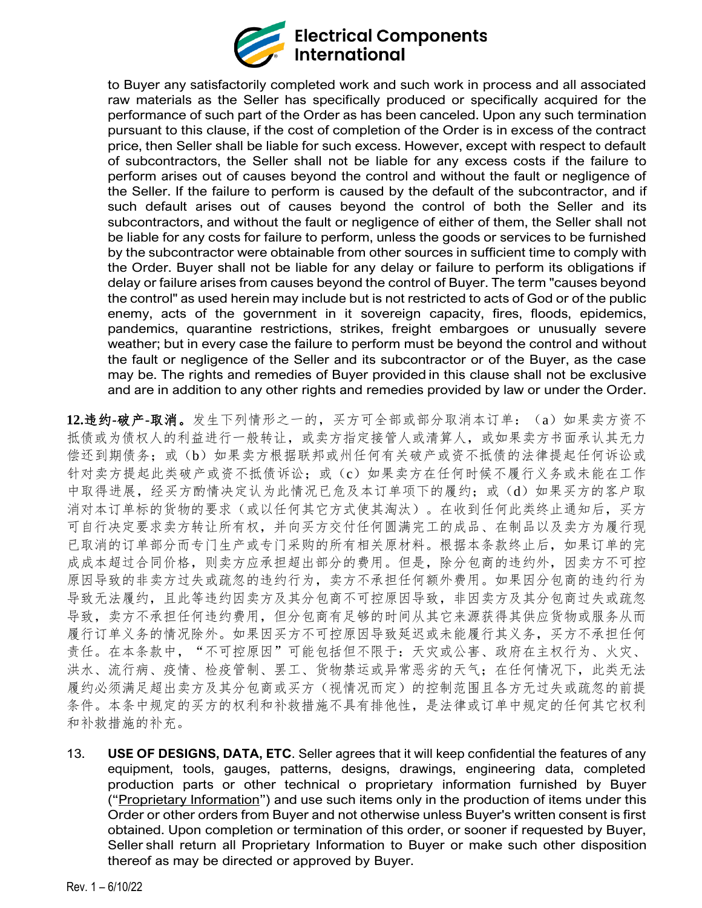

to Buyer any satisfactorily completed work and such work in process and all associated raw materials as the Seller has specifically produced or specifically acquired for the performance of such part of the Order as has been canceled. Upon any such termination pursuant to this clause, if the cost of completion of the Order is in excess of the contract price, then Seller shall be liable for such excess. However, except with respect to default of subcontractors, the Seller shall not be liable for any excess costs if the failure to perform arises out of causes beyond the control and without the fault or negligence of the Seller. If the failure to perform is caused by the default of the subcontractor, and if such default arises out of causes beyond the control of both the Seller and its subcontractors, and without the fault or negligence of either of them, the Seller shall not be liable for any costs for failure to perform, unless the goods or services to be furnished by the subcontractor were obtainable from other sources in sufficient time to comply with the Order. Buyer shall not be liable for any delay or failure to perform its obligations if delay or failure arises from causes beyond the control of Buyer. The term "causes beyond the control" as used herein may include but is not restricted to acts of God or of the public enemy, acts of the government in it sovereign capacity, fires, floods, epidemics, pandemics, quarantine restrictions, strikes, freight embargoes or unusually severe weather; but in every case the failure to perform must be beyond the control and without the fault or negligence of the Seller and its subcontractor or of the Buyer, as the case may be. The rights and remedies of Buyer provided in this clause shall not be exclusive and are in addition to any other rights and remedies provided by law or under the Order.

**12.**违约**-**破产**-**取消。发生下列情形之一的,买方可全部或部分取消本订单:(a)如果卖方资不 抵债或为债权人的利益进行一般转让,或卖方指定接管人或清算人,或如果卖方书面承认其无力 偿还到期债务;或(b)如果卖方根据联邦或州任何有关破产或资不抵债的法律提起任何诉讼或 针对卖方提起此类破产或资不抵债诉讼;或(c)如果卖方在任何时候不履行义务或未能在工作 中取得进展,经买方酌情决定认为此情况已危及本订单项下的履约;或(d)如果买方的客户取 消对本订单标的货物的要求(或以任何其它方式使其淘汰)。在收到任何此类终止通知后,买方 可自行决定要求卖方转让所有权,并向买方交付任何圆满完工的成品、在制品以及卖方为履行现 已取消的订单部分而专门生产或专门采购的所有相关原材料。根据本条款终止后,如果订单的完 成成本超过合同价格,则卖方应承担超出部分的费用。但是,除分包商的违约外,因卖方不可控 原因导致的非卖方过失或疏忽的违约行为,卖方不承担任何额外费用。如果因分包商的违约行为 导致无法履约,且此等违约因卖方及其分包商不可控原因导致,非因卖方及其分包商过失或疏忽 导致,卖方不承担任何违约费用,但分包商有足够的时间从其它来源获得其供应货物或服务从而 履行订单义务的情况除外。如果因买方不可控原因导致延迟或未能履行其义务,买方不承担任何 责任。在本条款中, "不可控原因"可能包括但不限于: 天灾或公害、政府在主权行为、火灾、 洪水、流行病、疫情、检疫管制、罢工、货物禁运或异常恶劣的天气;在任何情况下,此类无法 履约必须满足超出卖方及其分包商或买方(视情况而定)的控制范围且各方无过失或疏忽的前提 条件。本条中规定的买方的权利和补救措施不具有排他性,是法律或订单中规定的任何其它权利 和补救措施的补充。

13. **USE OF DESIGNS, DATA, ETC**. Seller agrees that it will keep confidential the features of any equipment, tools, gauges, patterns, designs, drawings, engineering data, completed production parts or other technical o proprietary information furnished by Buyer ("Proprietary Information") and use such items only in the production of items under this Order or other orders from Buyer and not otherwise unless Buyer's written consent is first obtained. Upon completion or termination of this order, or sooner if requested by Buyer, Seller shall return all Proprietary Information to Buyer or make such other disposition thereof as may be directed or approved by Buyer.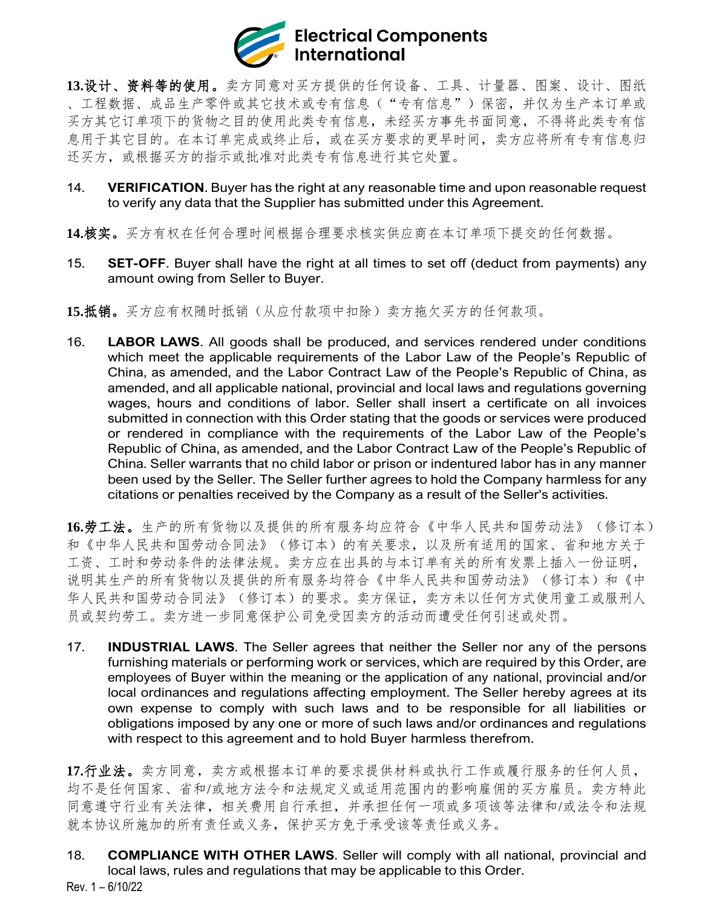

**13.**设计、资料等的使用。卖方同意对买方提供的任何设备、工具、计量器、图案、设计、图纸 、工程数据、成品生产零件或其它技术或专有信息("专有信息")保密,并仅为生产本订单或 买方其它订单项下的货物之目的使用此类专有信息,未经买方事先书面同意,不得将此类专有信 息用于其它目的。在本订单完成或终止后,或在买方要求的更早时间,卖方应将所有专有信息归 还买方,或根据买方的指示或批准对此类专有信息进行其它处置。

- 14. **VERIFICATION**. Buyer has the right at any reasonable time and upon reasonable request to verify any data that the Supplier has submitted under this Agreement.
- **14.**核实。买方有权在任何合理时间根据合理要求核实供应商在本订单项下提交的任何数据。
- 15. **SET-OFF**. Buyer shall have the right at all times to set off (deduct from payments) any amount owing from Seller to Buyer.
- **15.**抵销。买方应有权随时抵销(从应付款项中扣除)卖方拖欠买方的任何款项。
- 16. **LABOR LAWS**. All goods shall be produced, and services rendered under conditions which meet the applicable requirements of the Labor Law of the People's Republic of China, as amended, and the Labor Contract Law of the People's Republic of China, as amended, and all applicable national, provincial and local laws and regulations governing wages, hours and conditions of labor. Seller shall insert a certificate on all invoices submitted in connection with this Order stating that the goods or services were produced or rendered in compliance with the requirements of the Labor Law of the People's Republic of China, as amended, and the Labor Contract Law of the People's Republic of China. Seller warrants that no child labor or prison or indentured labor has in any manner been used by the Seller. The Seller further agrees to hold the Company harmless for any citations or penalties received by the Company as a result of the Seller's activities.

**16.**劳工法。生产的所有货物以及提供的所有服务均应符合《中华人民共和国劳动法》(修订本) 和《中华人民共和国劳动合同法》(修订本)的有关要求,以及所有适用的国家、省和地方关于 工资、工时和劳动条件的法律法规。卖方应在出具的与本订单有关的所有发票上插入一份证明, 说明其生产的所有货物以及提供的所有服务均符合《中华人民共和国劳动法》(修订本)和《中 华人民共和国劳动合同法》(修订本)的要求。卖方保证,卖方未以任何方式使用童工或服刑人 员或契约劳工。卖方进一步同意保护公司免受因卖方的活动而遭受任何引述或处罚。

17. **INDUSTRIAL LAWS**. The Seller agrees that neither the Seller nor any of the persons furnishing materials or performing work or services, which are required by this Order, are employees of Buyer within the meaning or the application of any national, provincial and/or local ordinances and regulations affecting employment. The Seller hereby agrees at its own expense to comply with such laws and to be responsible for all liabilities or obligations imposed by any one or more of such laws and/or ordinances and regulations with respect to this agreement and to hold Buyer harmless therefrom.

**17.**行业法。卖方同意,卖方或根据本订单的要求提供材料或执行工作或履行服务的任何人员, 均不是任何国家、省和/或地方法令和法规定义或适用范围内的影响雇佣的买方雇员。卖方特此 同意遵守行业有关法律,相关费用自行承担,并承担任何一项或多项该等法律和/或法令和法规 就本协议所施加的所有责任或义务,保护买方免于承受该等责任或义务。

Rev. 1 – 6/10/22 18. **COMPLIANCE WITH OTHER LAWS**. Seller will comply with all national, provincial and local laws, rules and regulations that may be applicable to this Order.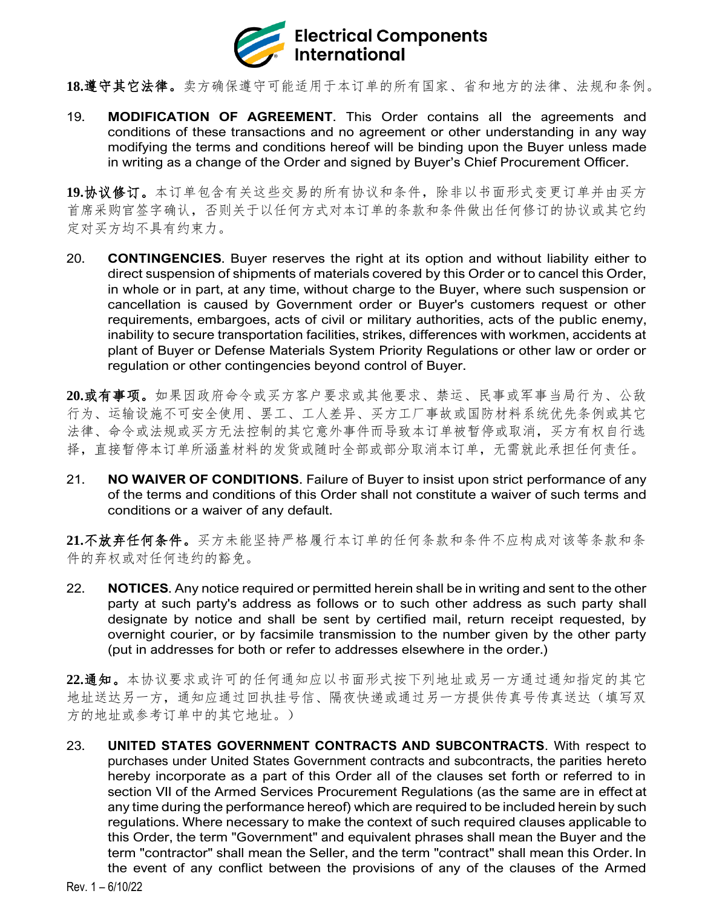

**18.**遵守其它法律。卖方确保遵守可能适用于本订单的所有国家、省和地方的法律、法规和条例。

19. **MODIFICATION OF AGREEMENT**. This Order contains all the agreements and conditions of these transactions and no agreement or other understanding in any way modifying the terms and conditions hereof will be binding upon the Buyer unless made in writing as a change of the Order and signed by Buyer's Chief Procurement Officer.

**19.**协议修订。本订单包含有关这些交易的所有协议和条件,除非以书面形式变更订单并由买方 首席采购官签字确认,否则关于以任何方式对本订单的条款和条件做出任何修订的协议或其它约 定对买方均不具有约束力。

20. **CONTINGENCIES**. Buyer reserves the right at its option and without liability either to direct suspension of shipments of materials covered by this Order or to cancel this Order, in whole or in part, at any time, without charge to the Buyer, where such suspension or cancellation is caused by Government order or Buyer's customers request or other requirements, embargoes, acts of civil or military authorities, acts of the public enemy, inability to secure transportation facilities, strikes, differences with workmen, accidents at plant of Buyer or Defense Materials System Priority Regulations or other law or order or regulation or other contingencies beyond control of Buyer.

**20.**或有事项。如果因政府命令或买方客户要求或其他要求、禁运、民事或军事当局行为、公敌 行为、运输设施不可安全使用、罢工、工人差异、买方工厂事故或国防材料系统优先条例或其它 法律、命令或法规或买方无法控制的其它意外事件而导致本订单被暂停或取消,买方有权自行选 择,直接暂停本订单所涵盖材料的发货或随时全部或部分取消本订单,无需就此承担任何责任。

21. **NO WAIVER OF CONDITIONS**. Failure of Buyer to insist upon strict performance of any of the terms and conditions of this Order shall not constitute a waiver of such terms and conditions or a waiver of any default.

**21.**不放弃任何条件。买方未能坚持严格履行本订单的任何条款和条件不应构成对该等条款和条 件的弃权或对任何违约的豁免。

22. **NOTICES**. Any notice required or permitted herein shall be in writing and sent to the other party at such party's address as follows or to such other address as such party shall designate by notice and shall be sent by certified mail, return receipt requested, by overnight courier, or by facsimile transmission to the number given by the other party (put in addresses for both or refer to addresses elsewhere in the order.)

**22.**通知。本协议要求或许可的任何通知应以书面形式按下列地址或另一方通过通知指定的其它 地址送达另一方,通知应通过回执挂号信、隔夜快递或通过另一方提供传真号传真送达(填写双 方的地址或参考订单中的其它地址。)

23. **UNITED STATES GOVERNMENT CONTRACTS AND SUBCONTRACTS**. With respect to purchases under United States Government contracts and subcontracts, the parities hereto hereby incorporate as a part of this Order all of the clauses set forth or referred to in section VII of the Armed Services Procurement Regulations (as the same are in effect at any time during the performance hereof) which are required to be included herein by such regulations. Where necessary to make the context of such required clauses applicable to this Order, the term "Government" and equivalent phrases shall mean the Buyer and the term "contractor" shall mean the Seller, and the term "contract" shall mean this Order. In the event of any conflict between the provisions of any of the clauses of the Armed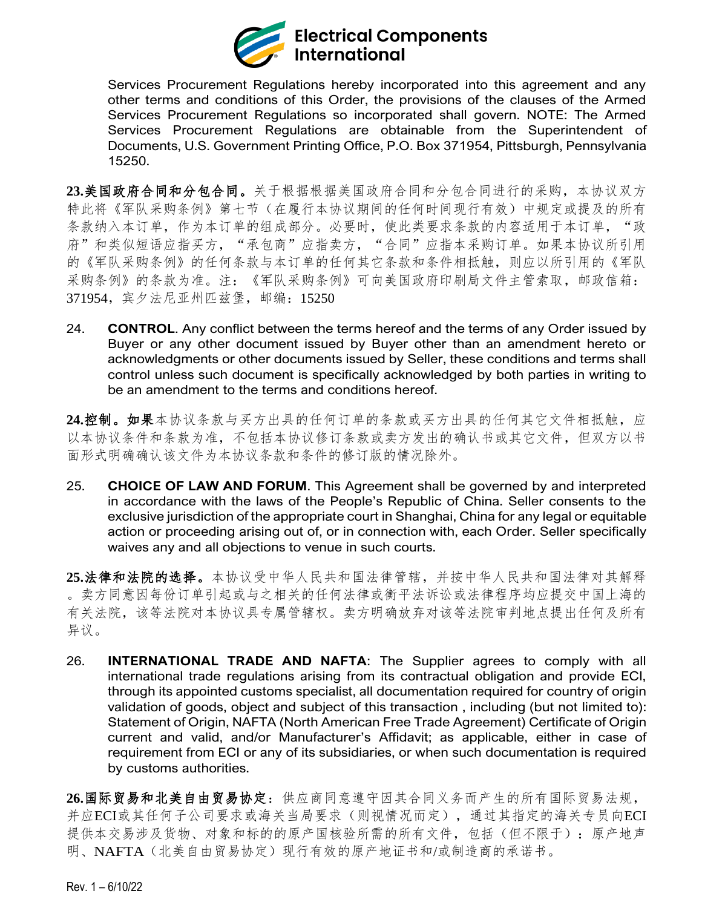

Services Procurement Regulations hereby incorporated into this agreement and any other terms and conditions of this Order, the provisions of the clauses of the Armed Services Procurement Regulations so incorporated shall govern. NOTE: The Armed Services Procurement Regulations are obtainable from the Superintendent of Documents, U.S. Government Printing Office, P.O. Box 371954, Pittsburgh, Pennsylvania 15250.

**23.**美国政府合同和分包合同。关于根据根据美国政府合同和分包合同进行的采购,本协议双方 特此将《军队采购条例》第七节(在履行本协议期间的任何时间现行有效)中规定或提及的所有 条款纳入本订单,作为本订单的组成部分。必要时,使此类要求条款的内容适用于本订单,"政 府"和类似短语应指买方,"承包商"应指卖方,"合同"应指本采购订单。如果本协议所引用 的《军队采购条例》的任何条款任何其它条款和条件相抵触,则应以所引用的《军队 采购条例》的条款为准。注:《军队采购条例》可向美国政府印刷局文件主管索取,邮政信箱: 371954,宾夕法尼亚州匹兹堡,邮编:15250

24. **CONTROL**. Any conflict between the terms hereof and the terms of any Order issued by Buyer or any other document issued by Buyer other than an amendment hereto or acknowledgments or other documents issued by Seller, these conditions and terms shall control unless such document is specifically acknowledged by both parties in writing to be an amendment to the terms and conditions hereof.

**24.**控制。如果本协议条款与买方出具的任何订单的条款或买方出具的任何其它文件相抵触,应 以本协议条件和条款为准,不包括本协议修订条款或卖方发出的确认书或其它文件,但双方以书 面形式明确确认该文件为本协议条款和条件的修订版的情况除外。

25. **CHOICE OF LAW AND FORUM**. This Agreement shall be governed by and interpreted in accordance with the laws of the People's Republic of China. Seller consents to the exclusive jurisdiction of the appropriate court in Shanghai, China for any legal or equitable action or proceeding arising out of, or in connection with, each Order. Seller specifically waives any and all objections to venue in such courts.

**25.**法律和法院的选择。本协议受中华人民共和国法律管辖,并按中华人民共和国法律对其解释 。卖方同意因每份订单引起或与之相关的任何法律或衡平法诉讼或法律程序均应提交中国上海的 有关法院,该等法院对本协议具专属管辖权。卖方明确放弃对该等法院审判地点提出任何及所有 异议。

26. **INTERNATIONAL TRADE AND NAFTA**: The Supplier agrees to comply with all international trade regulations arising from its contractual obligation and provide ECI, through its appointed customs specialist, all documentation required for country of origin validation of goods, object and subject of this transaction , including (but not limited to): Statement of Origin, NAFTA (North American Free Trade Agreement) Certificate of Origin current and valid, and/or Manufacturer's Affidavit; as applicable, either in case of requirement from ECI or any of its subsidiaries, or when such documentation is required by customs authorities.

**26.**国际贸易和北美自由贸易协定:供应商同意遵守因其合同义务而产生的所有国际贸易法规, 并应ECI或其任何子公司要求或海关当局要求(则视情况而定),通过其指定的海关专员向ECI 提供本交易涉及货物、对象和标的的原产国核验所需的所有文件,包括(但不限于):原产地声 明、NAFTA(北美自由贸易协定)现行有效的原产地证书和/或制造商的承诺书。